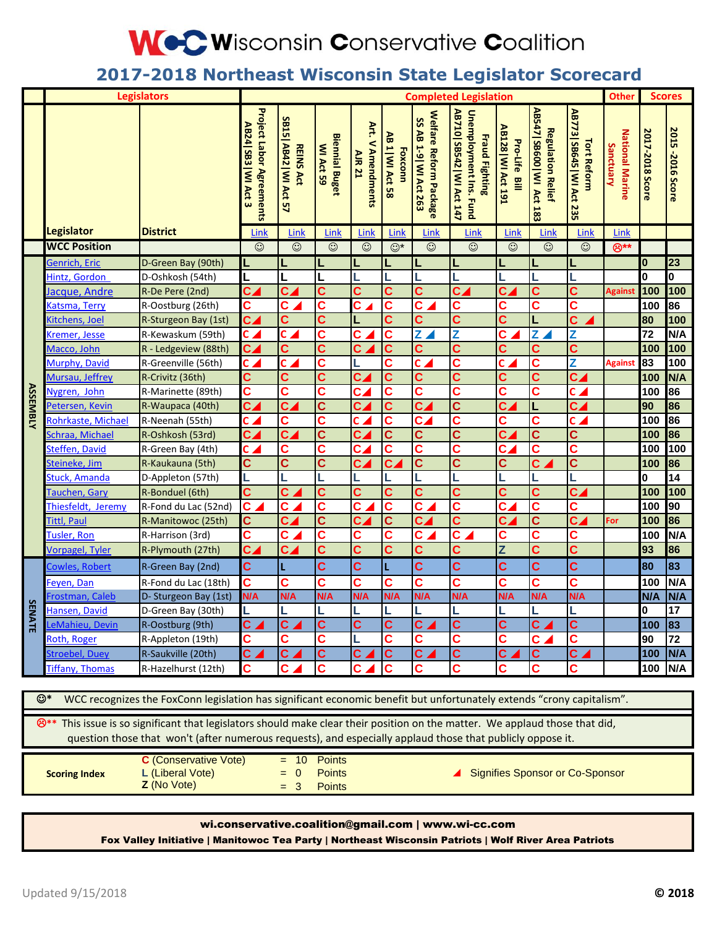# **WeC Wisconsin Conservative Coalition**

### **2017-2018 Northeast Wisconsin State Legislator Scorecard**

| <b>Legislators</b>                   |                                                                                                                                                                                                                                                                                                                                           |                                                                                                                                          | <b>Completed Legislation</b>                                   |                                           |                                           |                                              |                                    |                                                                   |                                                                             |                                     |                                                        | <b>Other</b>                                   |                                     | <b>Scores</b>   |                  |
|--------------------------------------|-------------------------------------------------------------------------------------------------------------------------------------------------------------------------------------------------------------------------------------------------------------------------------------------------------------------------------------------|------------------------------------------------------------------------------------------------------------------------------------------|----------------------------------------------------------------|-------------------------------------------|-------------------------------------------|----------------------------------------------|------------------------------------|-------------------------------------------------------------------|-----------------------------------------------------------------------------|-------------------------------------|--------------------------------------------------------|------------------------------------------------|-------------------------------------|-----------------|------------------|
|                                      |                                                                                                                                                                                                                                                                                                                                           |                                                                                                                                          | <b>Project Labor Agreements</b><br>AB24 SB3<br><b>MI Act 3</b> | SB15 AB42   WI Act 57<br><b>REINS Act</b> | <b>Biennial Buget</b><br><b>MI Act 59</b> | Art.<br><b>V Amendments</b><br><b>AIR 21</b> | AB 1   WI Act 58<br><b>Foxconn</b> | <b>Welfare</b><br>SS AB 1-9   WI Act 263<br><b>Reform Package</b> | AB710 SB542   WI Act 147<br>Unemployment Ins. Fund<br><b>Fraud Fighting</b> | AB128   WI Act 191<br>Pro-Life Bill | AB547   SB600   WI Act 183<br><b>Regulation Relief</b> | AB773 SB645   WI Act 235<br><b>Tort Reform</b> | <b>National Marine</b><br>Sanctuary | 2017-2018 Score | 2015 -2016 Score |
|                                      | <b>Legislator</b>                                                                                                                                                                                                                                                                                                                         | <b>District</b>                                                                                                                          | Link                                                           | Link                                      | Link                                      | <b>Link</b>                                  | Link                               | Link                                                              | Link                                                                        | Link                                | Link                                                   | Link                                           | Link                                |                 |                  |
|                                      | <b>WCC Position</b>                                                                                                                                                                                                                                                                                                                       |                                                                                                                                          | $\odot$                                                        | $\odot$                                   | $\odot$                                   | $\odot$                                      | $\odot^*$                          | $\odot$                                                           | $\odot$                                                                     | $\odot$                             | $\odot$                                                | $\odot$                                        | $\bigotimes^{**}$                   |                 |                  |
| <b>ASSEMBLY</b><br>SE<br><b>NATE</b> | Genrich, Eric                                                                                                                                                                                                                                                                                                                             | D-Green Bay (90th)                                                                                                                       |                                                                |                                           | L                                         |                                              |                                    |                                                                   | L                                                                           |                                     |                                                        |                                                |                                     | 0               | 23               |
|                                      | Hintz, Gordon                                                                                                                                                                                                                                                                                                                             | D-Oshkosh (54th)                                                                                                                         | L                                                              |                                           | L                                         |                                              | L                                  | L                                                                 |                                                                             |                                     |                                                        |                                                |                                     | O               | 0                |
|                                      | Jacque, Andre                                                                                                                                                                                                                                                                                                                             | R-De Pere (2nd)                                                                                                                          | $\overline{\mathbf{c}}$                                        | $c_{\blacktriangle}$                      | C                                         | Ć                                            | C                                  | C                                                                 | $c_{4}$                                                                     | c <sub>4</sub>                      | C                                                      | Ć                                              | <b>Against</b>                      | 100             | 100              |
|                                      | Katsma, Terry                                                                                                                                                                                                                                                                                                                             | R-Oostburg (26th)                                                                                                                        | C                                                              | C                                         | C                                         | C.                                           | C                                  | C                                                                 | C                                                                           | С                                   | С                                                      | Ć                                              |                                     | 100             | 86               |
|                                      | Kitchens, Joel                                                                                                                                                                                                                                                                                                                            | R-Sturgeon Bay (1st)                                                                                                                     | $c_{\blacktriangle}$                                           | C                                         | $\overline{c}$                            |                                              | Ć                                  | C                                                                 | C                                                                           | Ć                                   | L                                                      | Ć                                              |                                     | 80              | 100              |
|                                      | Kremer, Jesse                                                                                                                                                                                                                                                                                                                             | R-Kewaskum (59th)                                                                                                                        | $c\angle$                                                      | $c_{\angle}$                              | C                                         | Ć                                            | $\mathbf c$                        | $\overline{Z}$                                                    | Z                                                                           | $\overline{\mathbf{c}}$             | $\overline{Z}$                                         | Z                                              |                                     | 72              | N/A              |
|                                      | Macco, John                                                                                                                                                                                                                                                                                                                               | R - Ledgeview (88th)                                                                                                                     | $c_{\blacktriangle}$                                           | C                                         | C                                         | <b>C</b>                                     | Ć                                  | C                                                                 | C                                                                           | C                                   | C                                                      | Ć                                              |                                     | 100             | 100              |
|                                      | Murphy, David                                                                                                                                                                                                                                                                                                                             | R-Greenville (56th)                                                                                                                      | $\overline{\mathbf{c}}$ $\overline{\mathbf{A}}$                | $\overline{\mathbf{c}}$ .                 | C                                         |                                              | Ć                                  | $\overline{\mathbf{c}}$ .                                         | Ċ                                                                           | Ċ                                   | C                                                      | Z                                              | <b>Against</b>                      | 83              | 100              |
|                                      | Mursau, Jeffrey                                                                                                                                                                                                                                                                                                                           | R-Crivitz (36th)                                                                                                                         | C                                                              | C                                         | $\overline{c}$                            | $c_{4}$                                      | $\overline{\mathbf{c}}$            | C                                                                 | C                                                                           | C                                   | Ć                                                      | $c\angle$                                      |                                     | 100             | N/A              |
|                                      | Nygren, John                                                                                                                                                                                                                                                                                                                              | R-Marinette (89th)                                                                                                                       | C                                                              | Ć                                         | C                                         | $c_{\blacktriangle}$                         | C                                  | Ć                                                                 | C                                                                           | Ć                                   | C                                                      | $c\blacktriangle$                              |                                     | 100             | 86               |
|                                      | Petersen, Kevin                                                                                                                                                                                                                                                                                                                           | R-Waupaca (40th)                                                                                                                         | $\overline{\mathbf{c}}$                                        | $\overline{\mathbf{c}}$                   | $\overline{c}$                            | $c_{\blacktriangle}$                         | Ć                                  | $\overline{\mathbf{c}}$                                           | Ċ                                                                           | $c_{4}$                             | L                                                      | $c_{\blacktriangle}$                           |                                     | 90              | 86               |
|                                      | Rohrkaste, Michael                                                                                                                                                                                                                                                                                                                        | R-Neenah (55th)                                                                                                                          | $\overline{\mathsf{c}}$ $\overline{\mathsf{A}}$                | C                                         | $\overline{\mathbf{c}}$                   | c <sub>4</sub>                               | $\overline{\mathbf{c}}$            | $\overline{\mathbf{c}}$                                           | C                                                                           | C                                   | C                                                      | $c_{\angle}$                                   |                                     | 100             | 86               |
|                                      | <u>Schraa, Michael</u>                                                                                                                                                                                                                                                                                                                    | R-Oshkosh (53rd)                                                                                                                         | $\overline{\mathsf{c}}$ $\overline{\mathsf{c}}$                | $\overline{\mathbf{c}}$                   | $\overline{c}$                            | $c_{\blacktriangle}$                         | $\overline{c}$                     | Ć                                                                 | Ċ                                                                           | $\overline{\mathbf{c}}$             | Ć                                                      | Ć                                              |                                     | 100             | 86               |
|                                      | Steffen, David                                                                                                                                                                                                                                                                                                                            | R-Green Bay (4th)                                                                                                                        | $\mathsf{c}$ $\blacktriangle$                                  | C                                         | $\overline{\mathbf{c}}$                   | $c_{\angle}$                                 | $\overline{\mathbf{c}}$            | C                                                                 | C                                                                           | $\overline{\mathbf{c}}$             | C                                                      | C                                              |                                     | 100             | 100              |
|                                      | Steineke, Jim                                                                                                                                                                                                                                                                                                                             | R-Kaukauna (5th)                                                                                                                         | C                                                              | $\overline{\mathbf{c}}$                   | $\overline{\mathbf{c}}$                   | $\overline{\mathbf{C}}$                      | $\overline{\mathbf{c}}$            | $\overline{\mathbf{c}}$                                           | $\overline{\mathbf{c}}$                                                     | C                                   | $\overline{\mathbf{c}}$                                | $\overline{\mathbf{c}}$                        |                                     | 100             | 86               |
|                                      | Stuck, Amanda                                                                                                                                                                                                                                                                                                                             | D-Appleton (57th)                                                                                                                        | L                                                              |                                           |                                           |                                              |                                    |                                                                   |                                                                             |                                     |                                                        |                                                |                                     | 0               | 14               |
|                                      | Tauchen, Gary                                                                                                                                                                                                                                                                                                                             | R-Bonduel (6th)                                                                                                                          | C                                                              | C                                         | $\overline{c}$                            | Ć                                            | Ć                                  | Ć                                                                 | Ć                                                                           | Ć                                   | Ć                                                      | $\overline{\mathbf{c}}$                        |                                     | 100             | 100              |
|                                      | Thiesfeldt, Jeremy                                                                                                                                                                                                                                                                                                                        | R-Fond du Lac (52nd)                                                                                                                     | $\overline{\mathbf{c}}$                                        | C                                         | $\overline{\mathbf{c}}$                   | C                                            | $\overline{\mathbf{c}}$            | C                                                                 | C                                                                           | C,                                  | C                                                      | C                                              |                                     | 100             | 90               |
|                                      | Tittl, Paul                                                                                                                                                                                                                                                                                                                               | R-Manitowoc (25th)                                                                                                                       | C                                                              | $\overline{\mathbf{c}}$                   | $\overline{\mathbf{c}}$                   | c <sub>4</sub>                               | $\overline{c}$                     | $\overline{\mathbf{c}}$                                           | $\overline{\mathbf{c}}$                                                     | $\overline{\mathbf{c}}$             | $\overline{\mathbf{c}}$                                | $\overline{\mathbf{c}}$                        | For                                 | 100             | 86               |
|                                      | Tusler, Ron                                                                                                                                                                                                                                                                                                                               | R-Harrison (3rd)                                                                                                                         | $\overline{\mathbf{c}}$                                        | $\overline{c}$                            | $\overline{\mathbf{c}}$                   | C                                            | $\overline{\mathbf{c}}$            | C                                                                 | C                                                                           | C                                   | C                                                      | C                                              |                                     | 100             | N/A              |
|                                      | <b>Vorpagel</b> , Tyler                                                                                                                                                                                                                                                                                                                   | R-Plymouth (27th)                                                                                                                        | $\overline{\mathbf{c}}$                                        | $c_{\blacktriangle}$                      | $\mathbf c$                               | $\overline{\mathbf{c}}$                      | Ć                                  | C                                                                 | Ċ                                                                           | Z                                   | $\overline{\mathbf{c}}$                                | $\overline{\mathbf{c}}$                        |                                     | 93              | 86               |
|                                      | <b>Cowles, Robert</b>                                                                                                                                                                                                                                                                                                                     | R-Green Bay (2nd)                                                                                                                        | C                                                              |                                           | Ć                                         | C                                            | L                                  | C                                                                 | Ć                                                                           | C                                   | C                                                      | Ć                                              |                                     | 80              | 83               |
|                                      | Feyen, Dan                                                                                                                                                                                                                                                                                                                                | R-Fond du Lac (18th)                                                                                                                     | Ć                                                              | Ć                                         | Ć                                         | Ć                                            | Ć                                  | Ć                                                                 | Ć                                                                           | Ć                                   | Ć                                                      | Ć                                              |                                     | 100             | N/A              |
|                                      | Frostman, Caleb                                                                                                                                                                                                                                                                                                                           | D- Sturgeon Bay (1st)                                                                                                                    | N/A                                                            | N/A                                       | N/A                                       | N/A                                          | N/A                                | <b>N/A</b>                                                        | N/A                                                                         | N/A                                 | <b>N/A</b>                                             | N/A                                            |                                     | <b>N/A</b>      | N/A              |
|                                      | Hansen, David                                                                                                                                                                                                                                                                                                                             | D-Green Bay (30th)                                                                                                                       |                                                                |                                           |                                           |                                              |                                    |                                                                   |                                                                             |                                     |                                                        |                                                |                                     | O               | 17               |
|                                      | LeMahieu, Devin                                                                                                                                                                                                                                                                                                                           | R-Oostburg (9th)                                                                                                                         | Ċ.                                                             | $\overline{c}$                            | $\overline{\mathbf{c}}$                   |                                              | Ć                                  | Ć                                                                 | $\overline{\mathbf{c}}$                                                     | $\overline{\mathbf{c}}$             | C                                                      | $\overline{\mathbf{c}}$                        |                                     | 100             | 83               |
|                                      | Roth, Roger                                                                                                                                                                                                                                                                                                                               | R-Appleton (19th)                                                                                                                        | C                                                              | С                                         | C                                         |                                              | C                                  | C                                                                 | C                                                                           | C                                   | C.                                                     |                                                |                                     | 90              | 72               |
|                                      | Stroebel, Duey                                                                                                                                                                                                                                                                                                                            | R-Saukville (20th)                                                                                                                       | C                                                              | С                                         | C                                         |                                              | $\mathbf c$                        | C                                                                 | Ċ                                                                           | Ć                                   | Ć                                                      | Ċ.                                             |                                     | 100             | N/A              |
|                                      | <b>Fiffany, Thomas</b>                                                                                                                                                                                                                                                                                                                    | R-Hazelhurst (12th)                                                                                                                      | C                                                              | C                                         | C                                         |                                              | С                                  | C                                                                 | Ć                                                                           | C                                   | C                                                      | C                                              |                                     | 100             | N/A              |
|                                      |                                                                                                                                                                                                                                                                                                                                           |                                                                                                                                          |                                                                |                                           |                                           |                                              |                                    |                                                                   |                                                                             |                                     |                                                        |                                                |                                     |                 |                  |
|                                      | $\odot^*$                                                                                                                                                                                                                                                                                                                                 | WCC recognizes the FoxConn legislation has significant economic benefit but unfortunately extends "crony capitalism".                    |                                                                |                                           |                                           |                                              |                                    |                                                                   |                                                                             |                                     |                                                        |                                                |                                     |                 |                  |
|                                      |                                                                                                                                                                                                                                                                                                                                           | <sup>8</sup> ** This issue is so significant that legislators should make clear their position on the matter. We applaud those that did, |                                                                |                                           |                                           |                                              |                                    |                                                                   |                                                                             |                                     |                                                        |                                                |                                     |                 |                  |
|                                      | question those that won't (after numerous requests), and especially applaud those that publicly oppose it.<br><b>C</b> (Conservative Vote)<br><b>Points</b><br>$= 10$<br>L (Liberal Vote)<br><b>Points</b><br><b>Signifies Sponsor or Co-Sponsor</b><br><b>Scoring Index</b><br>$\mathbf 0$<br>=<br>Z (No Vote)<br>$= 3$<br><b>Points</b> |                                                                                                                                          |                                                                |                                           |                                           |                                              |                                    |                                                                   |                                                                             |                                     |                                                        |                                                |                                     |                 |                  |

wi.conservative.coalition@gmail.com | www.wi-cc.com

Fox Valley Initiative | Manitowoc Tea Party | Northeast Wisconsin Patriots | Wolf River Area Patriots